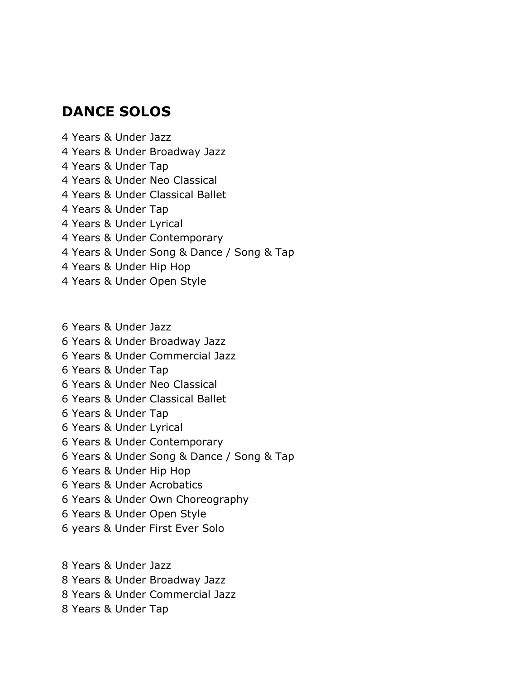## **DANCE SOLOS**

Years & Under Jazz

- Years & Under Broadway Jazz
- Years & Under Tap
- Years & Under Neo Classical
- Years & Under Classical Ballet
- Years & Under Tap
- Years & Under Lyrical
- Years & Under Contemporary
- Years & Under Song & Dance / Song & Tap
- Years & Under Hip Hop
- Years & Under Open Style
- Years & Under Jazz
- Years & Under Broadway Jazz
- 6 Years & Under Commercial Jazz
- Years & Under Tap
- Years & Under Neo Classical
- Years & Under Classical Ballet
- Years & Under Tap
- Years & Under Lyrical
- Years & Under Contemporary
- Years & Under Song & Dance / Song & Tap
- Years & Under Hip Hop
- Years & Under Acrobatics
- Years & Under Own Choreography
- Years & Under Open Style
- 6 years & Under First Ever Solo

Years & Under Jazz

- Years & Under Broadway Jazz
- Years & Under Commercial Jazz
- Years & Under Tap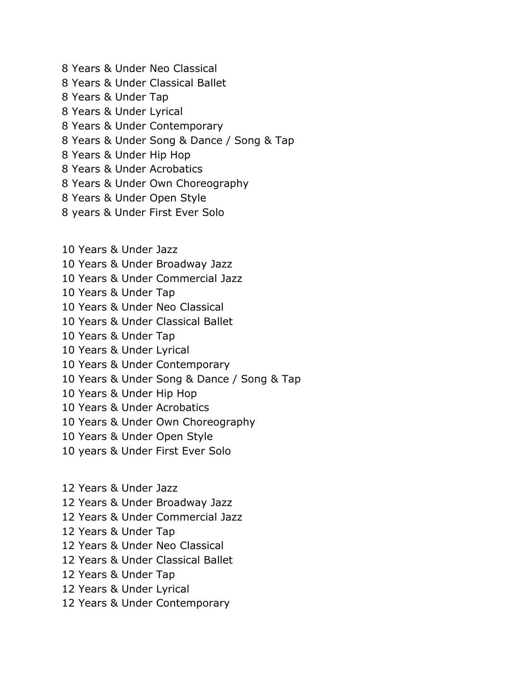- Years & Under Neo Classical Years & Under Classical Ballet Years & Under Tap Years & Under Lyrical Years & Under Contemporary Years & Under Song & Dance / Song & Tap Years & Under Hip Hop Years & Under Acrobatics Years & Under Own Choreography
- Years & Under Open Style
- years & Under First Ever Solo
- Years & Under Jazz
- Years & Under Broadway Jazz
- Years & Under Commercial Jazz
- Years & Under Tap
- Years & Under Neo Classical
- Years & Under Classical Ballet
- Years & Under Tap
- Years & Under Lyrical
- Years & Under Contemporary
- Years & Under Song & Dance / Song & Tap
- Years & Under Hip Hop
- Years & Under Acrobatics
- Years & Under Own Choreography
- Years & Under Open Style
- years & Under First Ever Solo
- Years & Under Jazz
- Years & Under Broadway Jazz
- Years & Under Commercial Jazz
- Years & Under Tap
- Years & Under Neo Classical
- Years & Under Classical Ballet
- Years & Under Tap
- Years & Under Lyrical
- Years & Under Contemporary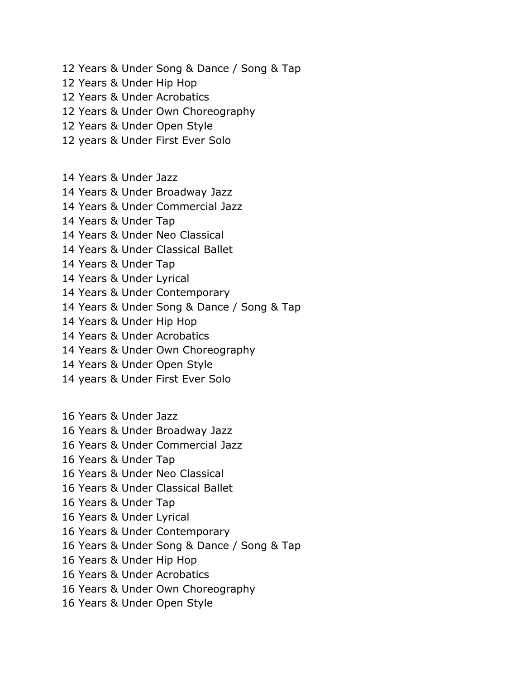- Years & Under Song & Dance / Song & Tap
- Years & Under Hip Hop
- Years & Under Acrobatics
- Years & Under Own Choreography
- Years & Under Open Style
- years & Under First Ever Solo
- Years & Under Jazz
- Years & Under Broadway Jazz
- Years & Under Commercial Jazz
- Years & Under Tap
- Years & Under Neo Classical
- Years & Under Classical Ballet
- Years & Under Tap
- Years & Under Lyrical
- Years & Under Contemporary
- Years & Under Song & Dance / Song & Tap
- Years & Under Hip Hop
- Years & Under Acrobatics
- Years & Under Own Choreography
- Years & Under Open Style
- years & Under First Ever Solo
- Years & Under Jazz
- Years & Under Broadway Jazz
- Years & Under Commercial Jazz
- Years & Under Tap
- Years & Under Neo Classical
- Years & Under Classical Ballet
- Years & Under Tap
- Years & Under Lyrical
- Years & Under Contemporary
- Years & Under Song & Dance / Song & Tap
- Years & Under Hip Hop
- Years & Under Acrobatics
- Years & Under Own Choreography
- Years & Under Open Style